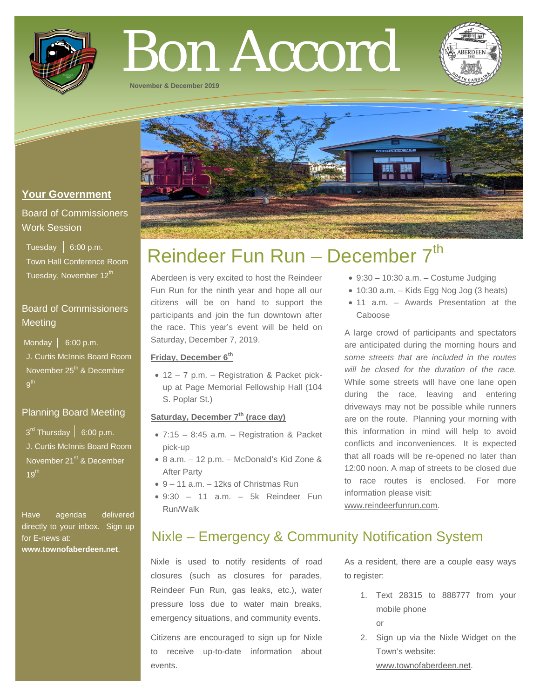

# Bon Accord

**November & December 2019**



# **Your Government**

# Board of Commissioners Work Session

Tuesday  $\vert 6:00 \text{ p.m.} \vert$  Town Hall Conference Room Tuesday, November 12<sup>th</sup>

# Board of Commissioners **Meeting**

Monday  $\vert$  6:00 p.m. J. Curtis McInnis Board Room November 25<sup>th</sup> & December  $9<sup>th</sup>$ 

# Planning Board Meeting

 $3<sup>rd</sup>$  Thursday | 6:00 p.m. J. Curtis McInnis Board Room November 21<sup>st</sup> & December  $19<sup>th</sup>$ 

Have agendas delivered directly to your inbox. Sign up for E-news at: **[www.townofaberdeen.net](http://www.townofaberdeen.net/)**.

# Reindeer Fun Run - December 7<sup>th</sup>

Aberdeen is very excited to host the Reindeer Fun Run for the ninth year and hope all our citizens will be on hand to support the participants and join the fun downtown after the race. This year's event will be held on Saturday, December 7, 2019.

#### **Friday, December 6th**

• 12 – 7 p.m. – Registration & Packet pickup at Page Memorial Fellowship Hall (104 S. Poplar St.)

### **Saturday, December 7th (race day)**

- 7:15 8:45 a.m. Registration & Packet pick-up
- 8 a.m. 12 p.m. McDonald's Kid Zone & After Party
- 9 11 a.m. 12ks of Christmas Run
- $\bullet$  9:30 11 a.m. 5k Reindeer Fun Run/Walk
- $\bullet$  9:30 10:30 a.m. Costume Judging
- 10:30 a.m. Kids Egg Nog Jog (3 heats)
- 11 a.m. Awards Presentation at the Caboose

A large crowd of participants and spectators are anticipated during the morning hours and *some streets that are included in the routes will be closed for the duration of the race.* While some streets will have one lane open during the race, leaving and entering driveways may not be possible while runners are on the route. Planning your morning with this information in mind will help to avoid conflicts and inconveniences. It is expected that all roads will be re-opened no later than 12:00 noon. A map of streets to be closed due to race routes is enclosed. For more information please visit:

[www.reindeerfunrun.com.](http://www.reindeerfunrun.com/)

# Nixle – Emergency & Community Notification System

Nixle is used to notify residents of road closures (such as closures for parades, Reindeer Fun Run, gas leaks, etc.), water pressure loss due to water main breaks, emergency situations, and community events.

Citizens are encouraged to sign up for Nixle to receive up-to-date information about events.

As a resident, there are a couple easy ways to register:

- 1. Text 28315 to 888777 from your mobile phone
	- or
- 2. Sign up via the Nixle Widget on the Town's website: www.townofaberdeen.net.